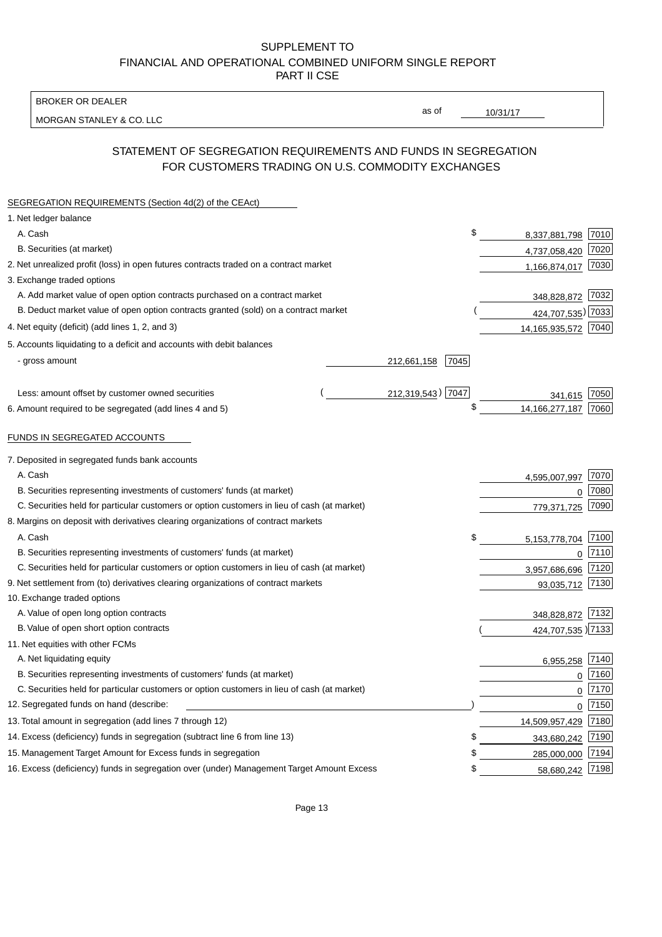BROKER OR DEALER

MORGAN STANLEY & CO. LLC

10/31/17

as of

## STATEMENT OF SEGREGATION REQUIREMENTS AND FUNDS IN SEGREGATION FOR CUSTOMERS TRADING ON U.S. COMMODITY EXCHANGES

| SEGREGATION REQUIREMENTS (Section 4d(2) of the CEAct)                                       |                     |                     |          |
|---------------------------------------------------------------------------------------------|---------------------|---------------------|----------|
| 1. Net ledger balance                                                                       |                     |                     |          |
| A. Cash                                                                                     | \$                  | 8,337,881,798 7010  |          |
| B. Securities (at market)                                                                   |                     | 4,737,058,420       | 7020     |
| 2. Net unrealized profit (loss) in open futures contracts traded on a contract market       |                     | 1,166,874,017 7030  |          |
| 3. Exchange traded options                                                                  |                     |                     |          |
| A. Add market value of open option contracts purchased on a contract market                 |                     | 348,828,872 7032    |          |
| B. Deduct market value of open option contracts granted (sold) on a contract market         |                     | 424,707,535) 7033   |          |
| 4. Net equity (deficit) (add lines 1, 2, and 3)                                             |                     | 14,165,935,572 7040 |          |
| 5. Accounts liquidating to a deficit and accounts with debit balances                       |                     |                     |          |
| - gross amount                                                                              | 212,661,158<br>7045 |                     |          |
|                                                                                             |                     |                     |          |
| Less: amount offset by customer owned securities                                            | 212,319,543) 7047   | 341,615             | 7050     |
| 6. Amount required to be segregated (add lines 4 and 5)                                     | \$                  | 14, 166, 277, 187   | 7060     |
|                                                                                             |                     |                     |          |
| FUNDS IN SEGREGATED ACCOUNTS                                                                |                     |                     |          |
| 7. Deposited in segregated funds bank accounts                                              |                     |                     |          |
| A. Cash                                                                                     |                     | 4,595,007,997       | 7070     |
| B. Securities representing investments of customers' funds (at market)                      |                     | 0                   | 7080     |
| C. Securities held for particular customers or option customers in lieu of cash (at market) |                     | 779,371,725         | 7090     |
| 8. Margins on deposit with derivatives clearing organizations of contract markets           |                     |                     |          |
| A. Cash                                                                                     | \$                  | 5, 153, 778, 704    | 7100     |
| B. Securities representing investments of customers' funds (at market)                      |                     | 0                   | 7110     |
| C. Securities held for particular customers or option customers in lieu of cash (at market) |                     | 3,957,686,696       | 7120     |
| 9. Net settlement from (to) derivatives clearing organizations of contract markets          |                     | 93,035,712          | 7130     |
| 10. Exchange traded options                                                                 |                     |                     |          |
| A. Value of open long option contracts                                                      |                     | 348,828,872 7132    |          |
| B. Value of open short option contracts                                                     |                     | 424,707,535 )7133   |          |
| 11. Net equities with other FCMs                                                            |                     |                     |          |
| A. Net liquidating equity                                                                   |                     | 6,955,258           | 7140     |
| B. Securities representing investments of customers' funds (at market)                      |                     | $\mathbf 0$         | 7160     |
| C. Securities held for particular customers or option customers in lieu of cash (at market) |                     | $\mathbf 0$         | 7170     |
| 12. Segregated funds on hand (describe:                                                     |                     |                     | $0$ 7150 |
| 13. Total amount in segregation (add lines 7 through 12)                                    |                     | 14,509,957,429 7180 |          |
| 14. Excess (deficiency) funds in segregation (subtract line 6 from line 13)                 | S                   | 343,680,242         | 7190     |
| 15. Management Target Amount for Excess funds in segregation                                | \$                  | 285,000,000         | 7194     |
| 16. Excess (deficiency) funds in segregation over (under) Management Target Amount Excess   | \$                  | 58,680,242 7198     |          |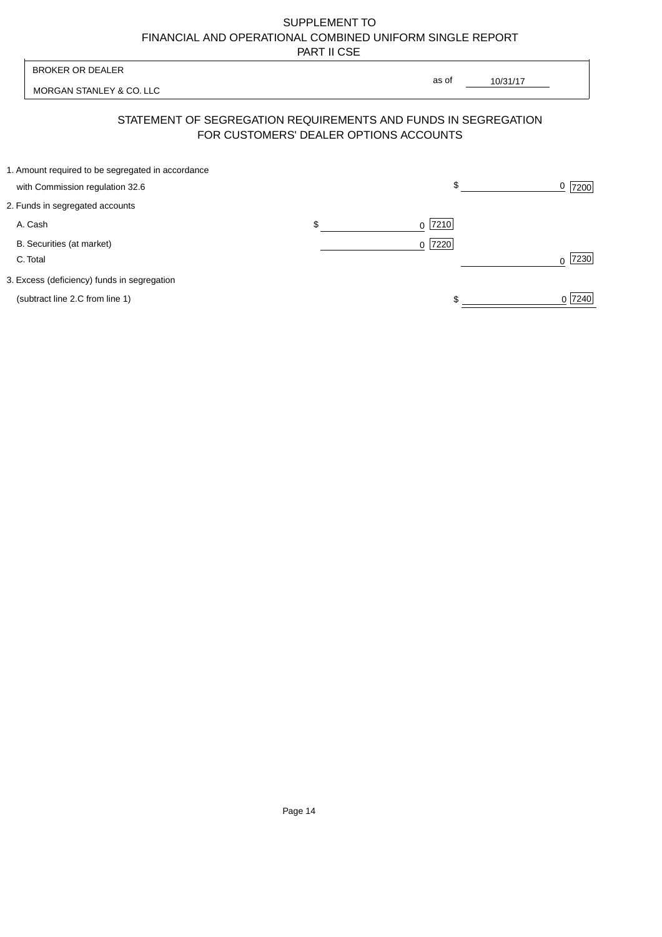| <b>BROKER OR DEALER</b>                                                              | as of                                                                                                    |                  |
|--------------------------------------------------------------------------------------|----------------------------------------------------------------------------------------------------------|------------------|
| MORGAN STANLEY & CO. LLC                                                             | 10/31/17                                                                                                 |                  |
|                                                                                      | STATEMENT OF SEGREGATION REQUIREMENTS AND FUNDS IN SEGREGATION<br>FOR CUSTOMERS' DEALER OPTIONS ACCOUNTS |                  |
| 1. Amount required to be segregated in accordance<br>with Commission regulation 32.6 | \$                                                                                                       | 0<br>7200        |
| 2. Funds in segregated accounts                                                      |                                                                                                          |                  |
| A. Cash                                                                              | \$<br>7210<br><sup>0</sup>                                                                               |                  |
| B. Securities (at market)<br>C. Total                                                | 0 7220                                                                                                   | 7230<br>$\Omega$ |
| 3. Excess (deficiency) funds in segregation                                          |                                                                                                          |                  |
| (subtract line 2.C from line 1)                                                      |                                                                                                          | 0 7240           |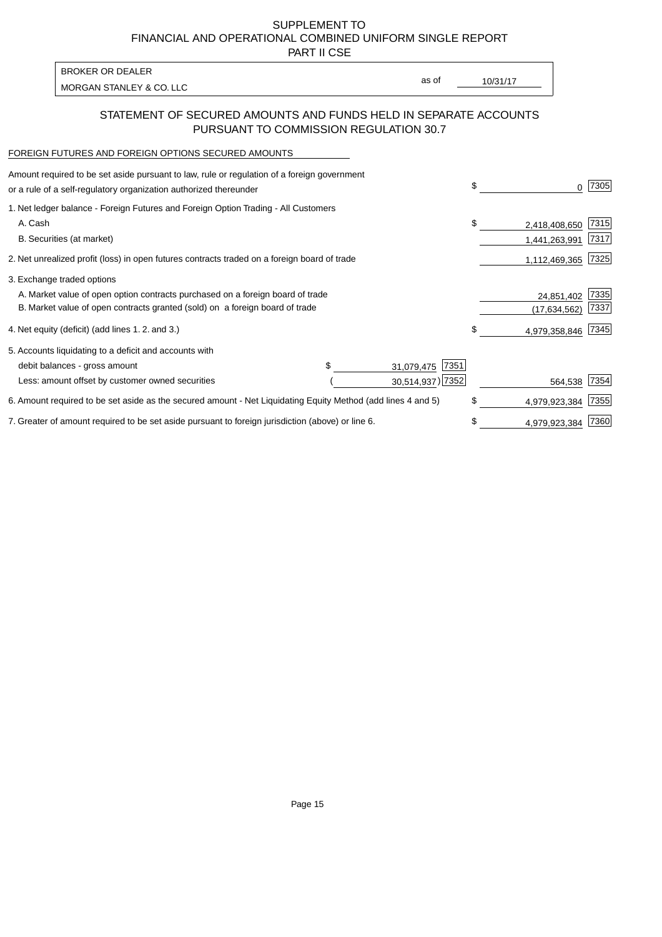PART II CSE

MORGAN STANLEY & CO. LLC and the contract of the contract of the contract of the contract of the contract of the contract of the contract of the contract of the contract of the contract of the contract of the contract of t BROKER OR DEALER

as of

## STATEMENT OF SECURED AMOUNTS AND FUNDS HELD IN SEPARATE ACCOUNTS PURSUANT TO COMMISSION REGULATION 30.7

# FOREIGN FUTURES AND FOREIGN OPTIONS SECURED AMOUNTS

| Amount required to be set aside pursuant to law, rule or regulation of a foreign government<br>or a rule of a self-regulatory organization authorized thereunder |  |                    | \$            | 0             | 7305 |
|------------------------------------------------------------------------------------------------------------------------------------------------------------------|--|--------------------|---------------|---------------|------|
| 1. Net ledger balance - Foreign Futures and Foreign Option Trading - All Customers                                                                               |  |                    |               |               |      |
| A. Cash                                                                                                                                                          |  |                    | \$            | 2,418,408,650 | 7315 |
| B. Securities (at market)                                                                                                                                        |  |                    |               | 1,441,263,991 | 7317 |
| 2. Net unrealized profit (loss) in open futures contracts traded on a foreign board of trade                                                                     |  |                    |               | 1,112,469,365 | 7325 |
| 3. Exchange traded options                                                                                                                                       |  |                    |               |               |      |
| A. Market value of open option contracts purchased on a foreign board of trade                                                                                   |  |                    | 24,851,402    | 7335          |      |
| B. Market value of open contracts granted (sold) on a foreign board of trade                                                                                     |  |                    |               | (17.634.562)  | 7337 |
| 4. Net equity (deficit) (add lines 1.2. and 3.)                                                                                                                  |  |                    | \$            | 4,979,358,846 | 7345 |
| 5. Accounts liquidating to a deficit and accounts with                                                                                                           |  |                    |               |               |      |
| debit balances - gross amount                                                                                                                                    |  | 7351<br>31,079,475 |               |               |      |
| Less: amount offset by customer owned securities                                                                                                                 |  | 30,514,937) 7352   |               | 564,538       | 7354 |
| 6. Amount required to be set aside as the secured amount - Net Liquidating Equity Method (add lines 4 and 5)                                                     |  |                    | \$            | 4,979,923,384 | 7355 |
| 7. Greater of amount required to be set aside pursuant to foreign jurisdiction (above) or line 6.                                                                |  | S                  | 4,979,923,384 | 7360          |      |
|                                                                                                                                                                  |  |                    |               |               |      |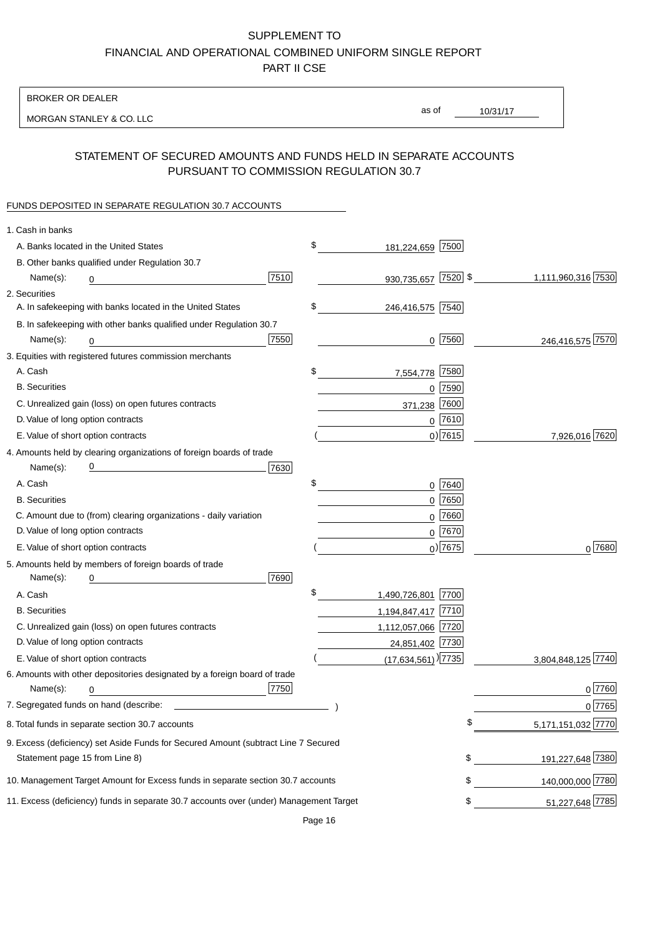BROKER OR DEALER

MORGAN STANLEY & CO. LLC

10/31/17 as of

## STATEMENT OF SECURED AMOUNTS AND FUNDS HELD IN SEPARATE ACCOUNTS PURSUANT TO COMMISSION REGULATION 30.7

#### FUNDS DEPOSITED IN SEPARATE REGULATION 30.7 ACCOUNTS

| 1. Cash in banks                                                                       |                                                        |
|----------------------------------------------------------------------------------------|--------------------------------------------------------|
| \$<br>A. Banks located in the United States                                            | 181,224,659 7500                                       |
| B. Other banks qualified under Regulation 30.7                                         |                                                        |
| 7510<br>Name(s):<br>0                                                                  | 930,735,657 7520 \$<br>1,111,960,316 7530              |
| 2. Securities                                                                          |                                                        |
| \$<br>A. In safekeeping with banks located in the United States                        | 246,416,575 7540                                       |
| B. In safekeeping with other banks qualified under Regulation 30.7                     |                                                        |
| 7550<br>Name(s):<br>0                                                                  | $0$  7560 <br>246,416,575 7570                         |
| 3. Equities with registered futures commission merchants                               |                                                        |
| A. Cash<br>\$<br>7,554,778                                                             | 7580                                                   |
| <b>B.</b> Securities                                                                   | $0$ 7590                                               |
| C. Unrealized gain (loss) on open futures contracts<br>371,238                         | 7600                                                   |
| D. Value of long option contracts                                                      | $0$ 7610                                               |
| E. Value of short option contracts                                                     | $0)$ 7615<br>7,926,016 7620                            |
| 4. Amounts held by clearing organizations of foreign boards of trade                   |                                                        |
| 7630<br>Name(s):                                                                       |                                                        |
| \$<br>A. Cash                                                                          | 0 7640                                                 |
| <b>B.</b> Securities                                                                   | $0$ 7650                                               |
| C. Amount due to (from) clearing organizations - daily variation                       | $0$ 7660                                               |
| D. Value of long option contracts                                                      | 0 7670                                                 |
| E. Value of short option contracts                                                     | $_0$ ) 7675<br>0 7680                                  |
| 5. Amounts held by members of foreign boards of trade                                  |                                                        |
| 7690<br>Name(s):<br>0                                                                  |                                                        |
| \$<br>1,490,726,801 7700<br>A. Cash                                                    |                                                        |
| <b>B.</b> Securities<br>1,194,847,417 7710                                             |                                                        |
| C. Unrealized gain (loss) on open futures contracts<br>1,112,057,066 7720              |                                                        |
| D. Value of long option contracts                                                      | 24,851,402 7730                                        |
| E. Value of short option contracts                                                     | $(17,634,561)$ <sup>[7735]</sup><br>3,804,848,125 7740 |
| 6. Amounts with other depositories designated by a foreign board of trade              |                                                        |
| 7750<br>Name(s):<br>0                                                                  | 0 7760                                                 |
|                                                                                        | 0 7765                                                 |
| 8. Total funds in separate section 30.7 accounts                                       | 5,171,151,032 7770                                     |
| 9. Excess (deficiency) set Aside Funds for Secured Amount (subtract Line 7 Secured     |                                                        |
| Statement page 15 from Line 8)                                                         | 191,227,648 7380<br>\$                                 |
| 10. Management Target Amount for Excess funds in separate section 30.7 accounts        | 140,000,000 7780<br>\$                                 |
| 11. Excess (deficiency) funds in separate 30.7 accounts over (under) Management Target | 51,227,648 7785<br>\$                                  |

Page 16